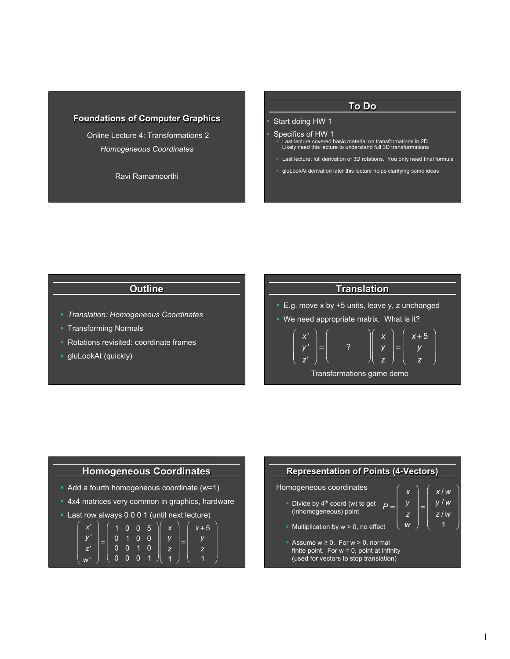## **Foundations of Computer Graphics**

 Online Lecture 4: Transformations 2 *Homogeneous Coordinates* 

Ravi Ramamoorthi

#### **To Do**

#### § Start doing HW 1

- § Specifics of HW 1 § Last lecture covered basic material on transformations in 2D Likely need this lecture to understand full 3D transformations
- § Last lecture: full derivation of 3D rotations. You only need final formula
- § gluLookAt derivation later this lecture helps clarifying some ideas

# **Outline**

- § *Translation: Homogeneous Coordinates*
- § Transforming Normals
- § Rotations revisited: coordinate frames
- § gluLookAt (quickly)



## **Homogeneous Coordinates**

- Add a fourth homogeneous coordinate (w=1)
- § 4x4 matrices very common in graphics, hardware
- § Last row always 0 0 0 1 (until next lecture)

$$
\begin{pmatrix} x' \\ y' \\ z' \\ w' \end{pmatrix} = \begin{pmatrix} 1 & 0 & 0 & 5 \\ 0 & 1 & 0 & 0 \\ 0 & 0 & 1 & 0 \\ 0 & 0 & 0 & 1 \end{pmatrix} \begin{pmatrix} x \\ y \\ z \\ z \\ 1 \end{pmatrix} = \begin{pmatrix} x+5 \\ y \\ z \\ 1 \end{pmatrix}
$$

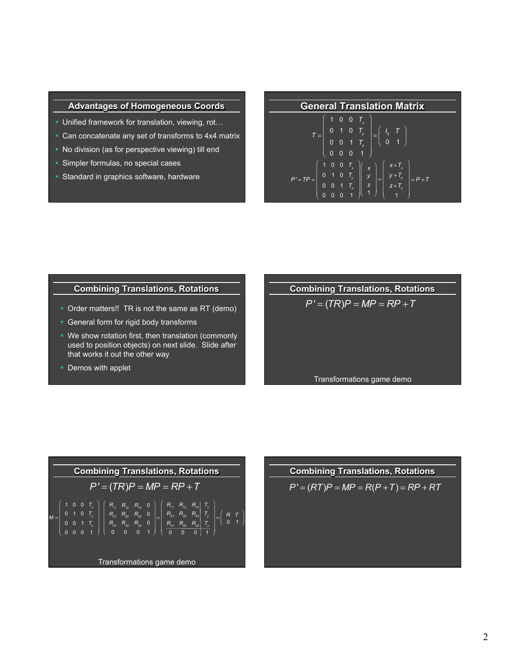#### **Advantages of Homogeneous Coords**

- **Unified framework for translation, viewing, rot...**
- Can concatenate any set of transforms to 4x4 matrix
- No division (as for perspective viewing) till end
- § Simpler formulas, no special cases
- § Standard in graphics software, hardware

|  |  | <b>General Translation Matrix</b>                                                                                                                                                                       |
|--|--|---------------------------------------------------------------------------------------------------------------------------------------------------------------------------------------------------------|
|  |  | $T = \left(\begin{array}{rrr} 1 & 0 & 0 & T_x \\ 0 & 1 & 0 & T_y \\ 0 & 0 & 1 & T_z \\ 0 & 0 & 0 & 1 \end{array}\right) = \left(\begin{array}{rrr} I_3 & T \\ 0 & 1 \end{array}\right)$                 |
|  |  |                                                                                                                                                                                                         |
|  |  |                                                                                                                                                                                                         |
|  |  |                                                                                                                                                                                                         |
|  |  |                                                                                                                                                                                                         |
|  |  | $P' = TP = \begin{bmatrix} 1 & 0 & 0 & T_x \\ 0 & 1 & 0 & T_y \\ 0 & 0 & T_y & T_z \\ 0 & 0 & T_z & T_z \end{bmatrix} = \begin{bmatrix} x + T_x \\ y + T_y \\ y + T_y \\ y + T_z \end{bmatrix} = P + T$ |
|  |  |                                                                                                                                                                                                         |

*z* 1

⎠

⎝

⎜ ⎜  $z + T_z$ 1

⎠

⎠ ⎟ ⎝

⎜ ⎜

0 0 0 1

⎝ ⎜

## **Combining Translations, Rotations**

- Order matters!! TR is not the same as RT (demo)
- § General form for rigid body transforms
- We show rotation first, then translation (commonly used to position objects) on next slide. Slide after that works it out the other way
- Demos with applet

| <b>Combining Translations, Rotations</b> |
|------------------------------------------|
| $P' = (TR)P = MP = RP + T$               |
|                                          |
| Transformations game demo                |



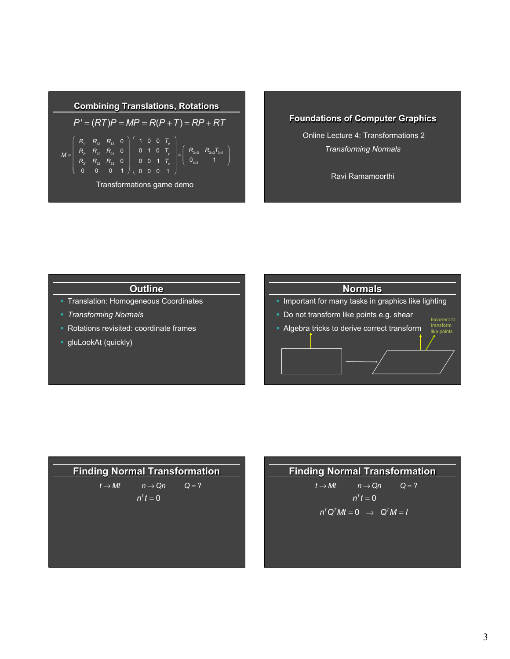

# **Foundations of Computer Graphics**

 Online Lecture 4: Transformations 2 *Transforming Normals*

Ravi Ramamoorthi

# **Outline**

- § Translation: Homogeneous Coordinates
- § *Transforming Normals*
- § Rotations revisited: coordinate frames
- **•** gluLookAt (quickly)





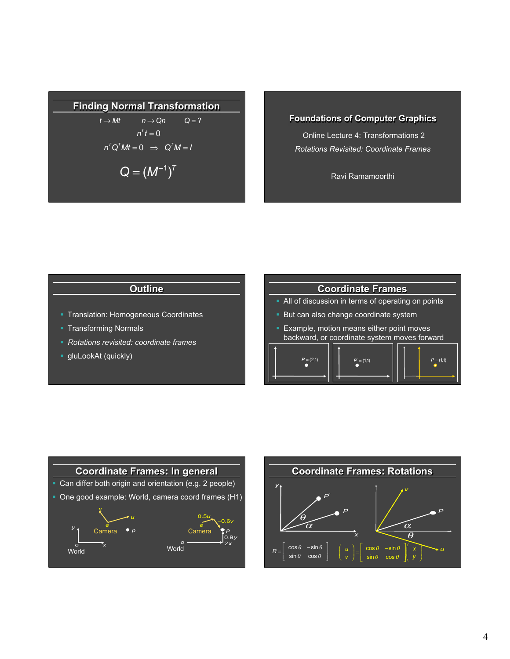# **Finding Normal Transformation**

$$
t \rightarrow Mt \qquad n \rightarrow Qn \qquad Q = ?
$$
  
\n
$$
n^{T}t = 0
$$
  
\n
$$
n^{T}Q^{T}Mt = 0 \Rightarrow Q^{T}M = I
$$
  
\n
$$
Q = (M^{-1})^{T}
$$

## **Foundations of Computer Graphics**

 Online Lecture 4: Transformations 2 *Rotations Revisited: Coordinate Frames* 

Ravi Ramamoorthi

# **Outline**

- § Translation: Homogeneous Coordinates
- § Transforming Normals
- § *Rotations revisited: coordinate frames*
- § gluLookAt (quickly)







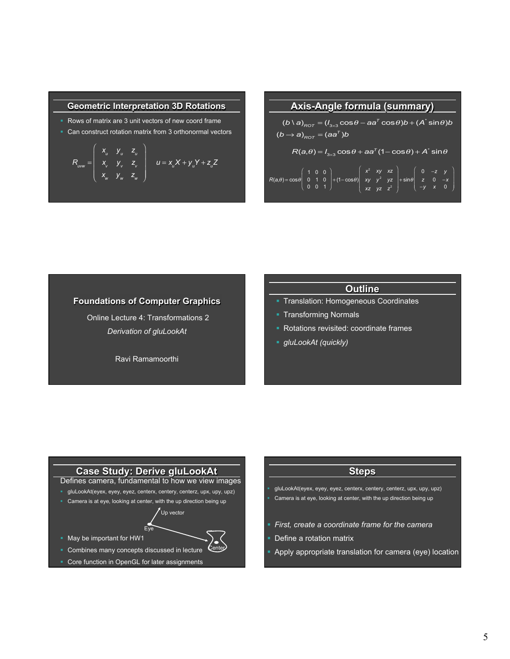#### **Geometric Interpretation 3D Rotations**

- § Rows of matrix are 3 unit vectors of new coord frame
- Can construct rotation matrix from 3 orthonormal vectors

$$
R_{uvw} = \begin{pmatrix} x_u & y_u & z_u \\ x_v & y_v & z_v \\ x_w & y_w & z_w \end{pmatrix} \quad u = x_u X + y_u Y + z_u Z
$$

# **Axis-Angle formula (summary)**

 $(b \setminus a)_{\mathit{ROT}} = (I_{3\times 3}\cos\theta - aa^T\cos\theta)b + (A^*\sin\theta)b$  $(b \rightarrow a)_{_{ROT}} = (aa^T)b$  $R(a, \theta) = I_{3\times 3} \cos \theta + aa^T (1 - \cos \theta) + A^* \sin \theta$  $R(a, \theta) = \cos \theta$ 1 0 0 0 1 0 0 0 1 ⎛ ⎝ ⎜ ⎜ ⎞ ⎠  $\left| + (1 - \cos \theta) \right|$ *x*<sup>2</sup> *xy xz xy y* <sup>2</sup> *yz xz yz z*<sup>2</sup> ⎛ ⎝  $\parallel$ ⎞ ⎠  $\left| + \sin \theta \right|$ 0 −*z y z* 0 −*x* −*y x* 0 ⎛ ⎝ ⎜ ⎜ ⎜

## **Foundations of Computer Graphics**

 Online Lecture 4: Transformations 2 *Derivation of gluLookAt*

Ravi Ramamoorthi

## **Outline**

- § Translation: Homogeneous Coordinates
- § Transforming Normals
- § Rotations revisited: coordinate frames
- § *gluLookAt (quickly)*

# **Case Study: Derive gluLookAt**

- Defines camera, fundamental to how we view images
- § gluLookAt(eyex, eyey, eyez, centerx, centery, centerz, upx, upy, upz)
- § Camera is at eye, looking at center, with the up direction being up

Up vector

- Eye
- § May be important for HW1
- § Combines many concepts discussed in lecture **Center**
- Core function in OpenGL for later assignments

## **Steps**

- § gluLookAt(eyex, eyey, eyez, centerx, centery, centerz, upx, upy, upz)
- § Camera is at eye, looking at center, with the up direction being up
- § *First, create a coordinate frame for the camera*
- Define a rotation matrix
- § Apply appropriate translation for camera (eye) location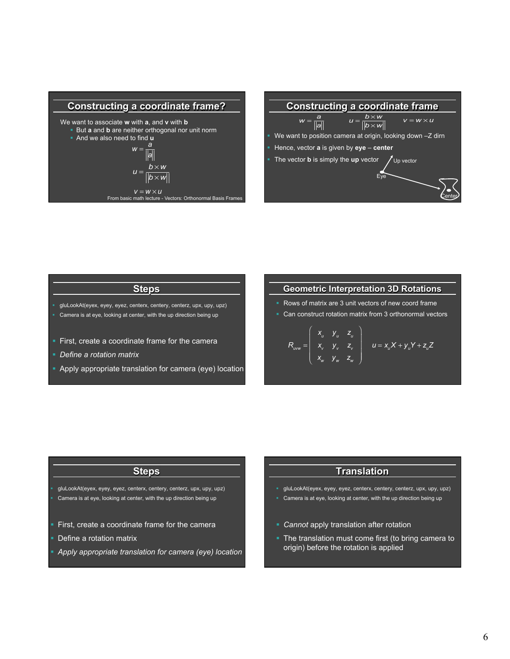



## **Steps**

- § gluLookAt(eyex, eyey, eyez, centerx, centery, centerz, upx, upy, upz)
- § Camera is at eye, looking at center, with the up direction being up
- First, create a coordinate frame for the camera
- § *Define a rotation matrix*
- § Apply appropriate translation for camera (eye) location

## **Geometric Interpretation 3D Rotations**

- § Rows of matrix are 3 unit vectors of new coord frame
- Can construct rotation matrix from 3 orthonormal vectors

$$
R_{uvw} = \begin{pmatrix} x_u & y_u & z_u \\ x_v & y_v & z_v \\ x_w & y_w & z_w \end{pmatrix} \quad u = x_u X + y_v Y + z_u Z
$$

#### **Steps**

§ gluLookAt(eyex, eyey, eyez, centerx, centery, centerz, upx, upy, upz) Camera is at eye, looking at center, with the up direction being up

- First, create a coordinate frame for the camera
- Define a rotation matrix
- § *Apply appropriate translation for camera (eye) location*

## **Translation**

- § gluLookAt(eyex, eyey, eyez, centerx, centery, centerz, upx, upy, upz)
- § Camera is at eye, looking at center, with the up direction being up
- § *Cannot* apply translation after rotation
- The translation must come first (to bring camera to origin) before the rotation is applied